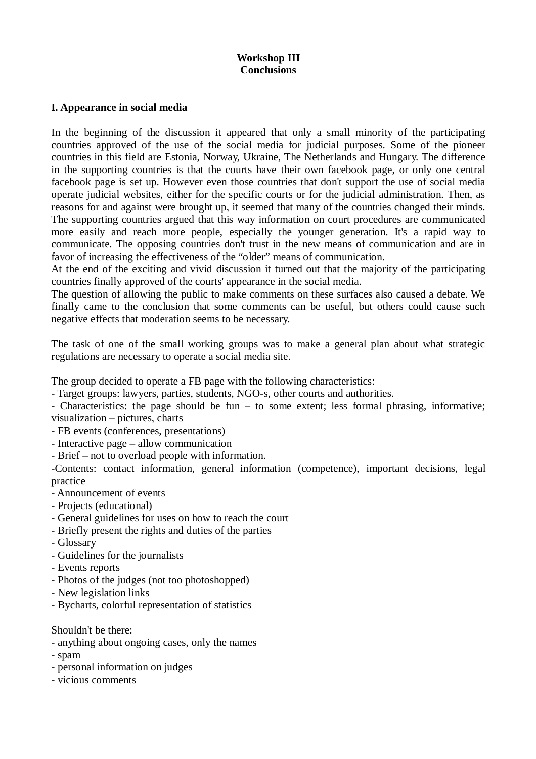### **Workshop III Conclusions**

#### **I. Appearance in social media**

In the beginning of the discussion it appeared that only a small minority of the participating countries approved of the use of the social media for judicial purposes. Some of the pioneer countries in this field are Estonia, Norway, Ukraine, The Netherlands and Hungary. The difference in the supporting countries is that the courts have their own facebook page, or only one central facebook page is set up. However even those countries that don't support the use of social media operate judicial websites, either for the specific courts or for the judicial administration. Then, as reasons for and against were brought up, it seemed that many of the countries changed their minds. The supporting countries argued that this way information on court procedures are communicated more easily and reach more people, especially the younger generation. It's a rapid way to communicate. The opposing countries don't trust in the new means of communication and are in favor of increasing the effectiveness of the "older" means of communication.

At the end of the exciting and vivid discussion it turned out that the majority of the participating countries finally approved of the courts' appearance in the social media.

The question of allowing the public to make comments on these surfaces also caused a debate. We finally came to the conclusion that some comments can be useful, but others could cause such negative effects that moderation seems to be necessary.

The task of one of the small working groups was to make a general plan about what strategic regulations are necessary to operate a social media site.

The group decided to operate a FB page with the following characteristics:

- Target groups: lawyers, parties, students, NGO-s, other courts and authorities.

- Characteristics: the page should be fun – to some extent; less formal phrasing, informative; visualization – pictures, charts

- FB events (conferences, presentations)

- Interactive page allow communication
- Brief not to overload people with information.

-Contents: contact information, general information (competence), important decisions, legal practice

- Announcement of events
- Projects (educational)
- General guidelines for uses on how to reach the court
- Briefly present the rights and duties of the parties
- Glossary
- Guidelines for the journalists
- Events reports
- Photos of the judges (not too photoshopped)
- New legislation links
- Bycharts, colorful representation of statistics

#### Shouldn't be there:

- anything about ongoing cases, only the names
- spam
- personal information on judges
- vicious comments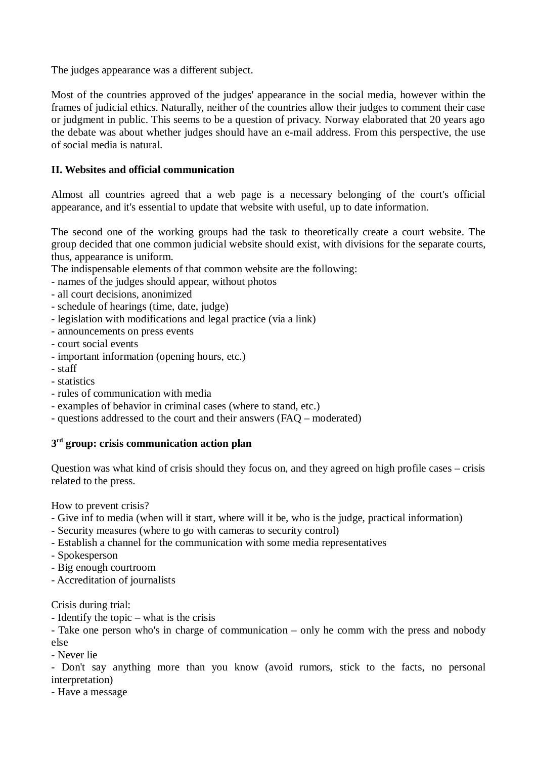The judges appearance was a different subject.

Most of the countries approved of the judges' appearance in the social media, however within the frames of judicial ethics. Naturally, neither of the countries allow their judges to comment their case or judgment in public. This seems to be a question of privacy. Norway elaborated that 20 years ago the debate was about whether judges should have an e-mail address. From this perspective, the use of social media is natural.

## **II. Websites and official communication**

Almost all countries agreed that a web page is a necessary belonging of the court's official appearance, and it's essential to update that website with useful, up to date information.

The second one of the working groups had the task to theoretically create a court website. The group decided that one common judicial website should exist, with divisions for the separate courts, thus, appearance is uniform.

The indispensable elements of that common website are the following:

- names of the judges should appear, without photos
- all court decisions, anonimized
- schedule of hearings (time, date, judge)
- legislation with modifications and legal practice (via a link)
- announcements on press events
- court social events
- important information (opening hours, etc.)
- staff
- statistics
- rules of communication with media
- examples of behavior in criminal cases (where to stand, etc.)
- questions addressed to the court and their answers (FAQ moderated)

### **3 rd group: crisis communication action plan**

Question was what kind of crisis should they focus on, and they agreed on high profile cases – crisis related to the press.

How to prevent crisis?

- Give inf to media (when will it start, where will it be, who is the judge, practical information)
- Security measures (where to go with cameras to security control)
- Establish a channel for the communication with some media representatives
- Spokesperson
- Big enough courtroom
- Accreditation of journalists

Crisis during trial:

- Identify the topic – what is the crisis

- Take one person who's in charge of communication – only he comm with the press and nobody else

- Never lie

- Don't say anything more than you know (avoid rumors, stick to the facts, no personal interpretation)

- Have a message